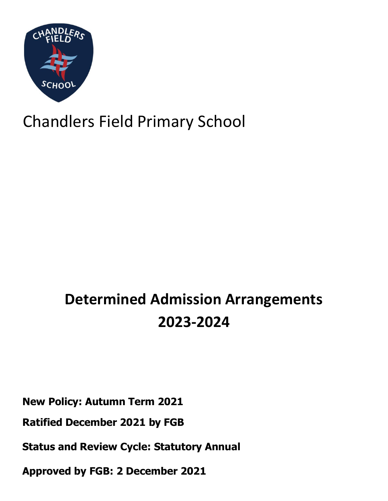

# Chandlers Field Primary School

# **Determined Admission Arrangements 2023-2024**

**New Policy: Autumn Term 2021**

**Ratified December 2021 by FGB**

**Status and Review Cycle: Statutory Annual**

**Approved by FGB: 2 December 2021**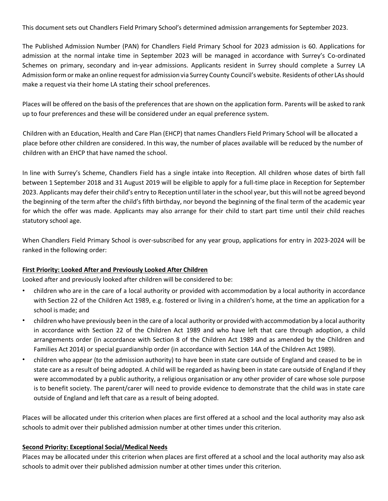This document sets out Chandlers Field Primary School's determined admission arrangements for September 2023.

The Published Admission Number (PAN) for Chandlers Field Primary School for 2023 admission is 60. Applications for admission at the normal intake time in September 2023 will be managed in accordance with Surrey's Co-ordinated Schemes on primary, secondary and in-year admissions. Applicants resident in Surrey should complete a Surrey LA Admission form or make an online request for admission via Surrey County Council's website. Residents of other LAs should make a request via their home LA stating their school preferences.

Places will be offered on the basis of the preferences that are shown on the application form. Parents will be asked to rank up to four preferences and these will be considered under an equal preference system.

Children with an Education, Health and Care Plan (EHCP) that names Chandlers Field Primary School will be allocated a place before other children are considered. In this way, the number of places available will be reduced by the number of children with an EHCP that have named the school.

In line with Surrey's Scheme, Chandlers Field has a single intake into Reception. All children whose dates of birth fall between 1 September 2018 and 31 August 2019 will be eligible to apply for a full-time place in Reception for September 2023. Applicants may defer their child's entry to Reception until later in the school year, but this will not be agreed beyond the beginning of the term after the child's fifth birthday, nor beyond the beginning of the final term of the academic year for which the offer was made. Applicants may also arrange for their child to start part time until their child reaches statutory school age.

When Chandlers Field Primary School is over-subscribed for any year group, applications for entry in 2023-2024 will be ranked in the following order:

#### **First Priority: Looked After and Previously Looked After Children**

Looked after and previously looked after children will be considered to be:

- children who are in the care of a local authority or provided with accommodation by a local authority in accordance with Section 22 of the Children Act 1989, e.g. fostered or living in a children's home, at the time an application for a school is made; and
- children who have previously been in the care of a local authority or provided with accommodation by a local authority in accordance with Section 22 of the Children Act 1989 and who have left that care through adoption, a child arrangements order (in accordance with Section 8 of the Children Act 1989 and as amended by the Children and Families Act 2014) or special guardianship order (in accordance with Section 14A of the Children Act 1989).
- children who appear (to the admission authority) to have been in state care outside of England and ceased to be in state care as a result of being adopted. A child will be regarded as having been in state care outside of England if they were accommodated by a public authority, a religious organisation or any other provider of care whose sole purpose is to benefit society. The parent/carer will need to provide evidence to demonstrate that the child was in state care outside of England and left that care as a result of being adopted.

Places will be allocated under this criterion when places are first offered at a school and the local authority may also ask schools to admit over their published admission number at other times under this criterion.

#### **Second Priority: Exceptional Social/Medical Needs**

Places may be allocated under this criterion when places are first offered at a school and the local authority may also ask schools to admit over their published admission number at other times under this criterion.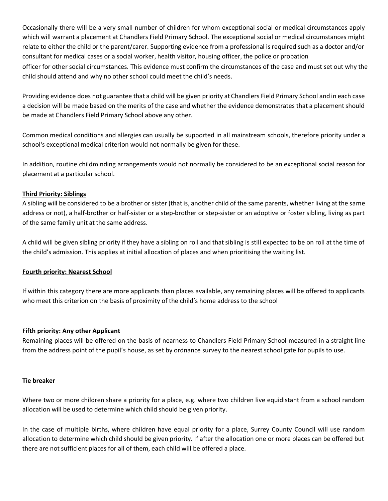Occasionally there will be a very small number of children for whom exceptional social or medical circumstances apply which will warrant a placement at Chandlers Field Primary School. The exceptional social or medical circumstances might relate to either the child or the parent/carer. Supporting evidence from a professional is required such as a doctor and/or consultant for medical cases or a social worker, health visitor, housing officer, the police or probation officer for other social circumstances. This evidence must confirm the circumstances of the case and must set out why the child should attend and why no other school could meet the child's needs.

Providing evidence does not guarantee that a child will be given priority at Chandlers Field Primary School and in each case a decision will be made based on the merits of the case and whether the evidence demonstrates that a placement should be made at Chandlers Field Primary School above any other.

Common medical conditions and allergies can usually be supported in all mainstream schools, therefore priority under a school's exceptional medical criterion would not normally be given for these.

In addition, routine childminding arrangements would not normally be considered to be an exceptional social reason for placement at a particular school.

# **Third Priority: Siblings**

A sibling will be considered to be a brother or sister (thatis, another child of the same parents, whether living at the same address or not), a half-brother or half-sister or a step-brother or step-sister or an adoptive or foster sibling, living as part of the same family unit at the same address.

A child will be given sibling priority if they have a sibling on roll and thatsibling is still expected to be on roll at the time of the child's admission. This applies at initial allocation of places and when prioritising the waiting list.

#### **Fourth priority: Nearest School**

If within this category there are more applicants than places available, any remaining places will be offered to applicants who meet this criterion on the basis of proximity of the child's home address to the school

#### **Fifth priority: Any other Applicant**

Remaining places will be offered on the basis of nearness to Chandlers Field Primary School measured in a straight line from the address point of the pupil's house, as set by ordnance survey to the nearest school gate for pupils to use.

#### **Tie breaker**

Where two or more children share a priority for a place, e.g. where two children live equidistant from a school random allocation will be used to determine which child should be given priority.

In the case of multiple births, where children have equal priority for a place, Surrey County Council will use random allocation to determine which child should be given priority. If after the allocation one or more places can be offered but there are not sufficient places for all of them, each child will be offered a place.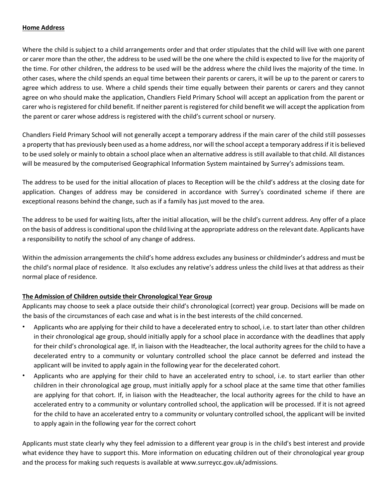# **Home Address**

Where the child is subject to a child arrangements order and that order stipulates that the child will live with one parent or carer more than the other, the address to be used will be the one where the child is expected to live for the majority of the time. For other children, the address to be used will be the address where the child lives the majority of the time. In other cases, where the child spends an equal time between their parents or carers, it will be up to the parent or carers to agree which address to use. Where a child spends their time equally between their parents or carers and they cannot agree on who should make the application, Chandlers Field Primary School will accept an application from the parent or carer who is registered for child benefit. If neither parentis registered for child benefit we will accept the application from the parent or carer whose address is registered with the child's current school or nursery.

Chandlers Field Primary School will not generally accept a temporary address if the main carer of the child still possesses a property that has previously been used as a home address, nor will the school accept a temporary addressif itis believed to be used solely or mainly to obtain a school place when an alternative address is still available to that child. All distances will be measured by the computerised Geographical Information System maintained by Surrey's admissions team.

The address to be used for the initial allocation of places to Reception will be the child's address at the closing date for application. Changes of address may be considered in accordance with Surrey's coordinated scheme if there are exceptional reasons behind the change, such as if a family has just moved to the area.

The address to be used for waiting lists, after the initial allocation, will be the child's current address. Any offer of a place on the basis of address is conditional upon the child living atthe appropriate address on the relevant date. Applicants have a responsibility to notify the school of any change of address.

Within the admission arrangements the child's home address excludes any business or childminder's address and must be the child's normal place of residence. It also excludes any relative's address unless the child lives at that address as their normal place of residence.

# **The Admission of Children outside their Chronological Year Group**

Applicants may choose to seek a place outside their child's chronological (correct) year group. Decisions will be made on the basis of the circumstances of each case and what is in the best interests of the child concerned.

- Applicants who are applying for their child to have a decelerated entry to school, i.e. to start later than other children in their chronological age group, should initially apply for a school place in accordance with the deadlines that apply for their child's chronological age. If, in liaison with the Headteacher, the local authority agrees for the child to have a decelerated entry to a community or voluntary controlled school the place cannot be deferred and instead the applicant will be invited to apply again in the following year for the decelerated cohort.
- Applicants who are applying for their child to have an accelerated entry to school, i.e. to start earlier than other children in their chronological age group, must initially apply for a school place at the same time that other families are applying for that cohort. If, in liaison with the Headteacher, the local authority agrees for the child to have an accelerated entry to a community or voluntary controlled school, the application will be processed. If it is not agreed for the child to have an accelerated entry to a community or voluntary controlled school, the applicant will be invited to apply again in the following year for the correct cohort

Applicants must state clearly why they feel admission to a different year group is in the child's best interest and provide what evidence they have to support this. More information on educating children out of their chronological year group and the process for making such requests is available at [www.surreycc.gov.uk/admissions.](http://www.surreycc.gov.uk/admissions)